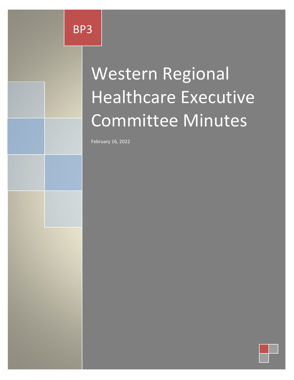# Western Regional Healthcare Executive Committee Minutes

February 16, 2022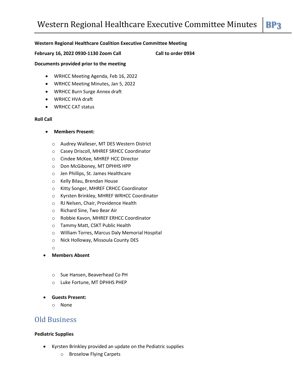#### **Western Regional Healthcare Coalition Executive Committee Meeting**

**February 16, 2022 0930-1130 Zoom Call Call to order 0934**

#### **Documents provided prior to the meeting**

- WRHCC Meeting Agenda, Feb 16, 2022
- WRHCC Meeting Minutes, Jan 5, 2022
- WRHCC Burn Surge Annex draft
- WRHCC HVA draft
- WRHCC CAT status

#### **Roll Call**

- **Members Present:**
	- o Audrey Walleser, MT DES Western District
	- o Casey Driscoll, MHREF SRHCC Coordinator
	- o Cindee McKee, MHREF HCC Director
	- o Don McGiboney, MT DPHHS HPP
	- o Jen Phillips, St. James Healthcare
	- o Kelly Bilau, Brendan House
	- o Kitty Songer, MHREF CRHCC Coordinator
	- o Kyrsten Brinkley, MHREF WRHCC Coordinator
	- o RJ Nelsen, Chair, Providence Health
	- o Richard Sine, Two Bear Air
	- o Robbie Kavon, MHREF ERHCC Coordinator
	- o Tammy Matt, CSKT Public Health
	- o William Torres, Marcus Daly Memorial Hospital
	- o Nick Holloway, Missoula County DES
	- o
- **Members Absent**
	- o Sue Hansen, Beaverhead Co PH
	- o Luke Fortune, MT DPHHS PHEP
- **Guests Present:**
	- o None

## Old Business

#### **Pediatric Supplies**

- Kyrsten Brinkley provided an update on the Pediatric supplies
	- o Broselow Flying Carpets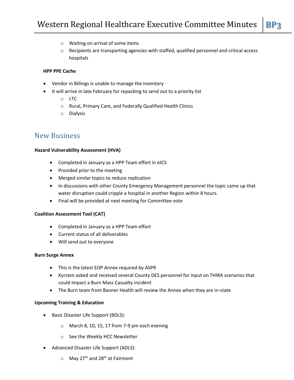- o Waiting on arrival of some items
- $\circ$  Recipients are transporting agencies with staffed, qualified personnel and critical access hospitals

### **HPP PPE Cache**

- Vendor in Billings is unable to manage the inventory
- It will arrive in late February for repacking to send out to a priority list
	- o LTC
	- o Rural, Primary Care, and Federally Qualified Health Clinics
	- o Dialysis

# New Business

#### **Hazard Vulnerability Assessment (HVA)**

- Completed in January as a HPP Team effort in eICS
- Provided prior to the meeting
- Merged similar topics to reduce replication
- In discussions with other County Emergency Management personnel the topic came up that water disruption could cripple a hospital in another Region within 8 hours.
- Final will be provided at next meeting for Committee vote

#### **Coalition Assessment Tool (CAT)**

- Completed in January as a HPP Team effort
- Current status of all deliverables
- Will send out to everyone

#### **Burn Surge Annex**

- This is the latest EOP Annex required by ASPR
- Kyrsten asked and received several County DES personnel for input on THIRA scenarios that could impact a Burn Mass Casualty incident
- The Burn team from Banner Health will review the Annex when they are in-state

#### **Upcoming Training & Education**

- Basic Disaster Life Support (BDLS):
	- o March 8, 10, 15, 17 from 7-9 pm each evening
	- o See the Weekly HCC Newsletter
- Advanced Disaster Life Support (ADLS):
	- $\circ$  May 27<sup>th</sup> and 28<sup>th</sup> at Fairmont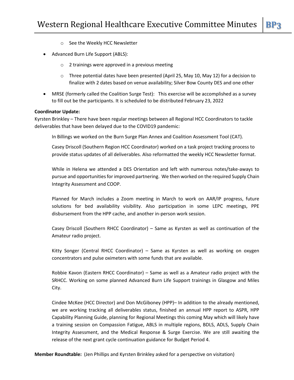- o See the Weekly HCC Newsletter
- Advanced Burn Life Support (ABLS):
	- o 2 trainings were approved in a previous meeting
	- $\circ$  Three potential dates have been presented (April 25, May 10, May 12) for a decision to finalize with 2 dates based on venue availability; Silver Bow County DES and one other
- MRSE (formerly called the Coalition Surge Test): This exercise will be accomplished as a survey to fill out be the participants. It is scheduled to be distributed February 23, 2022

#### **Coordinator Update:**

Kyrsten Brinkley – There have been regular meetings between all Regional HCC Coordinators to tackle deliverables that have been delayed due to the COVID19 pandemic:

In Billings we worked on the Burn Surge Plan Annex and Coalition Assessment Tool (CAT).

Casey Driscoll (Southern Region HCC Coordinator) worked on a task project tracking process to provide status updates of all deliverables. Also reformatted the weekly HCC Newsletter format.

While in Helena we attended a DES Orientation and left with numerous notes/take-aways to pursue and opportunities for improved partnering. We then worked on the required Supply Chain Integrity Assessment and COOP.

Planned for March includes a Zoom meeting in March to work on AAR/IP progress, future solutions for bed availability visibility. Also participation in some LEPC meetings, PPE disbursement from the HPP cache, and another in-person work session.

Casey Driscoll (Southern RHCC Coordinator) – Same as Kyrsten as well as continuation of the Amateur radio project.

Kitty Songer (Central RHCC Coordinator) – Same as Kyrsten as well as working on oxygen concentrators and pulse oximeters with some funds that are available.

Robbie Kavon (Eastern RHCC Coordinator) – Same as well as a Amateur radio project with the SRHCC. Working on some planned Advanced Burn Life Support trainings in Glasgow and Miles City.

Cindee McKee (HCC Director) and Don McGiboney (HPP)– In addition to the already mentioned, we are working tracking all deliverables status, finished an annual HPP report to ASPR, HPP Capability Planning Guide, planning for Regional Meetings this coming May which will likely have a training session on Compassion Fatigue, ABLS in multiple regions, BDLS, ADLS, Supply Chain Integrity Assessment, and the Medical Response & Surge Exercise. We are still awaiting the release of the next grant cycle continuation guidance for Budget Period 4.